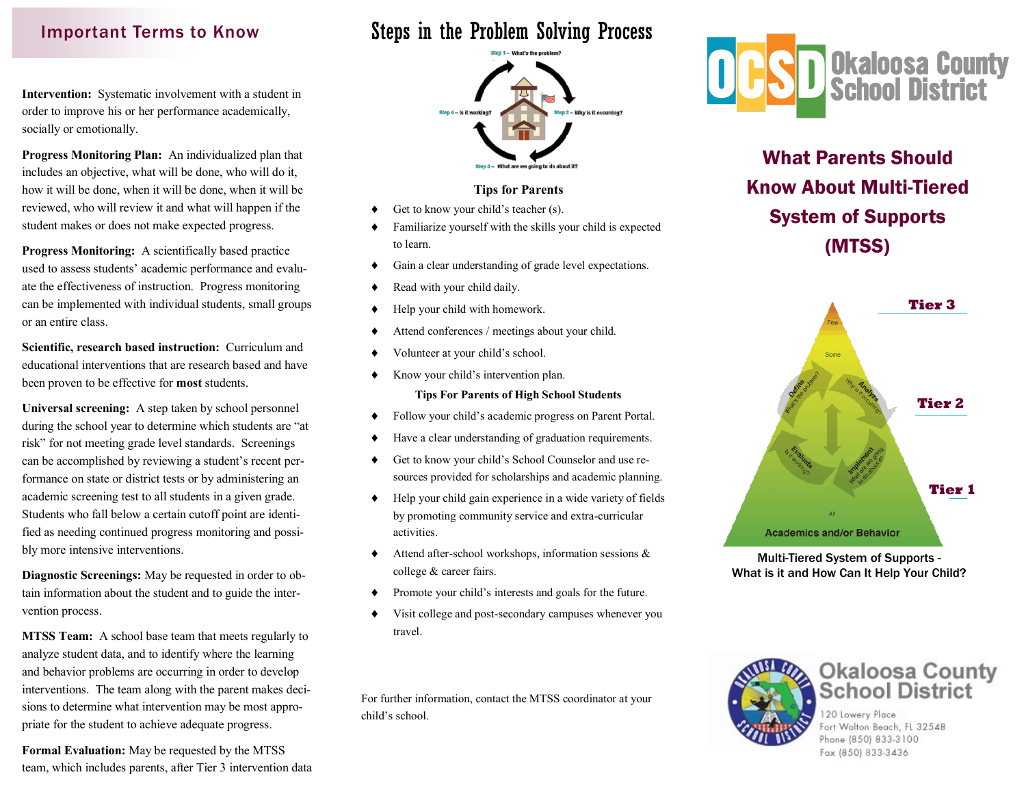## Important Terms to Know

**Intervention:** Systematic involvement with a student in order to improve his or her performance academically, socially or emotionally.

**Progress Monitoring Plan:** An individualized plan that includes an objective, what will be done, who will do it, how it will be done, when it will be done, when it will be reviewed, who will review it and what will happen if the student makes or does not make expected progress.

**Progress Monitoring:** A scientifically based practice used to assess students' academic performance and evaluate the effectiveness of instruction. Progress monitoring can be implemented with individual students, small groups or an entire class.

**Scientific, research based instruction:** Curriculum and educational interventions that are research based and have been proven to be effective for **most** students.

**Universal screening:** A step taken by school personnel during the school year to determine which students are "at risk" for not meeting grade level standards. Screenings can be accomplished by reviewing a student's recent performance on state or district tests or by administering an academic screening test to all students in a given grade. Students who fall below a certain cutoff point are identified as needing continued progress monitoring and possibly more intensive interventions.

**Diagnostic Screenings:** May be requested in order to obtain information about the student and to guide the intervention process.

**MTSS Team:** A school base team that meets regularly to analyze student data, and to identify where the learning and behavior problems are occurring in order to develop interventions. The team along with the parent makes decisions to determine what intervention may be most appropriate for the student to achieve adequate progress.

**Formal Evaluation:** May be requested by the MTSS team, which includes parents, after Tier 3 intervention data

# Steps in the Problem Solving Process



#### **Tips for Parents**

- Get to know your child's teacher (s).
- Familiarize yourself with the skills your child is expected to learn.
- Gain a clear understanding of grade level expectations.
- Read with your child daily.
- Help your child with homework.
- Attend conferences / meetings about your child.
- Volunteer at your child's school.
- Know your child's intervention plan.

#### **Tips For Parents of High School Students**

- Follow your child's academic progress on Parent Portal.
- Have a clear understanding of graduation requirements.
- Get to know your child's School Counselor and use resources provided for scholarships and academic planning.
- Help your child gain experience in a wide variety of fields by promoting community service and extra-curricular activities.
- $\blacklozenge$  Attend after-school workshops, information sessions  $\&$ college & career fairs.
- Promote your child's interests and goals for the future.
- Visit college and post-secondary campuses whenever you travel.

For further information, contact the MTSS coordinator at your child's school.



What Parents Should Know About Multi-Tiered System of Supports (MTSS)



Multi-Tiered System of Supports - What is it and How Can It Help Your Child?